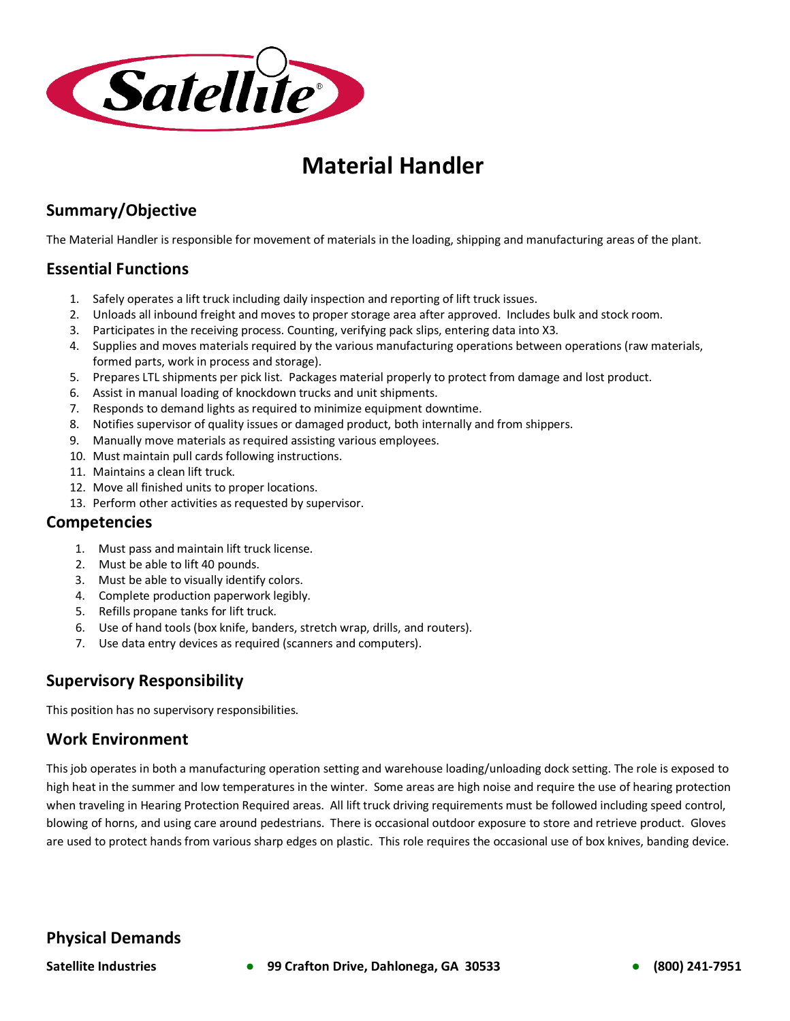

# **Material Handler**

# **Summary/Objective**

The Material Handler is responsible for movement of materials in the loading, shipping and manufacturing areas of the plant.

# **Essential Functions**

- 1. Safely operates a lift truck including daily inspection and reporting of lift truck issues.
- 2. Unloads all inbound freight and moves to proper storage area after approved. Includes bulk and stock room.
- 3. Participates in the receiving process. Counting, verifying pack slips, entering data into X3.
- 4. Supplies and moves materials required by the various manufacturing operations between operations (raw materials, formed parts, work in process and storage).
- 5. Prepares LTL shipments per pick list. Packages material properly to protect from damage and lost product.
- 6. Assist in manual loading of knockdown trucks and unit shipments.
- 7. Responds to demand lights as required to minimize equipment downtime.
- 8. Notifies supervisor of quality issues or damaged product, both internally and from shippers.
- 9. Manually move materials as required assisting various employees.
- 10. Must maintain pull cards following instructions.
- 11. Maintains a clean lift truck.
- 12. Move all finished units to proper locations.
- 13. Perform other activities as requested by supervisor.

#### **Competencies**

- 1. Must pass and maintain lift truck license.
- 2. Must be able to lift 40 pounds.
- 3. Must be able to visually identify colors.
- 4. Complete production paperwork legibly.
- 5. Refills propane tanks for lift truck.
- 6. Use of hand tools (box knife, banders, stretch wrap, drills, and routers).
- 7. Use data entry devices as required (scanners and computers).

# **Supervisory Responsibility**

This position has no supervisory responsibilities.

#### **Work Environment**

This job operates in both a manufacturing operation setting and warehouse loading/unloading dock setting. The role is exposed to high heat in the summer and low temperatures in the winter. Some areas are high noise and require the use of hearing protection when traveling in Hearing Protection Required areas. All lift truck driving requirements must be followed including speed control, blowing of horns, and using care around pedestrians. There is occasional outdoor exposure to store and retrieve product. Gloves are used to protect hands from various sharp edges on plastic. This role requires the occasional use of box knives, banding device.

# **Physical Demands**